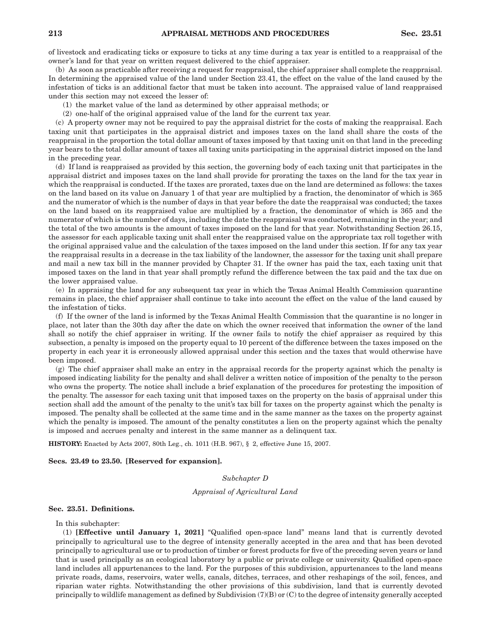of livestock and eradicating ticks or exposure to ticks at any time during a tax year is entitled to a reappraisal of the owner's land for that year on written request delivered to the chief appraiser.

(b) As soon as practicable after receiving a request for reappraisal, the chief appraiser shall complete the reappraisal. In determining the appraised value of the land under Section 23.41, the effect on the value of the land caused by the infestation of ticks is an additional factor that must be taken into account. The appraised value of land reappraised under this section may not exceed the lesser of:

- (1) the market value of the land as determined by other appraisal methods; or
- (2) one-half of the original appraised value of the land for the current tax year.

(c) A property owner may not be required to pay the appraisal district for the costs of making the reappraisal. Each taxing unit that participates in the appraisal district and imposes taxes on the land shall share the costs of the reappraisal in the proportion the total dollar amount of taxes imposed by that taxing unit on that land in the preceding year bears to the total dollar amount of taxes all taxing units participating in the appraisal district imposed on the land in the preceding year.

(d) If land is reappraised as provided by this section, the governing body of each taxing unit that participates in the appraisal district and imposes taxes on the land shall provide for prorating the taxes on the land for the tax year in which the reappraisal is conducted. If the taxes are prorated, taxes due on the land are determined as follows: the taxes on the land based on its value on January 1 of that year are multiplied by a fraction, the denominator of which is 365 and the numerator of which is the number of days in that year before the date the reappraisal was conducted; the taxes on the land based on its reappraised value are multiplied by a fraction, the denominator of which is 365 and the numerator of which is the number of days, including the date the reappraisal was conducted, remaining in the year; and the total of the two amounts is the amount of taxes imposed on the land for that year. Notwithstanding Section 26.15, the assessor for each applicable taxing unit shall enter the reappraised value on the appropriate tax roll together with the original appraised value and the calculation of the taxes imposed on the land under this section. If for any tax year the reappraisal results in a decrease in the tax liability of the landowner, the assessor for the taxing unit shall prepare and mail a new tax bill in the manner provided by Chapter 31. If the owner has paid the tax, each taxing unit that imposed taxes on the land in that year shall promptly refund the difference between the tax paid and the tax due on the lower appraised value.

(e) In appraising the land for any subsequent tax year in which the Texas Animal Health Commission quarantine remains in place, the chief appraiser shall continue to take into account the effect on the value of the land caused by the infestation of ticks.

(f) If the owner of the land is informed by the Texas Animal Health Commission that the quarantine is no longer in place, not later than the 30th day after the date on which the owner received that information the owner of the land shall so notify the chief appraiser in writing. If the owner fails to notify the chief appraiser as required by this subsection, a penalty is imposed on the property equal to 10 percent of the difference between the taxes imposed on the property in each year it is erroneously allowed appraisal under this section and the taxes that would otherwise have been imposed.

(g) The chief appraiser shall make an entry in the appraisal records for the property against which the penalty is imposed indicating liability for the penalty and shall deliver a written notice of imposition of the penalty to the person who owns the property. The notice shall include a brief explanation of the procedures for protesting the imposition of the penalty. The assessor for each taxing unit that imposed taxes on the property on the basis of appraisal under this section shall add the amount of the penalty to the unit's tax bill for taxes on the property against which the penalty is imposed. The penalty shall be collected at the same time and in the same manner as the taxes on the property against which the penalty is imposed. The amount of the penalty constitutes a lien on the property against which the penalty is imposed and accrues penalty and interest in the same manner as a delinquent tax.

**HISTORY:** Enacted by Acts 2007, 80th Leg., ch. 1011 (H.B. 967), § 2, effective June 15, 2007.

### **Secs. 23.49 to 23.50. [Reserved for expansion].**

# *Subchapter D*

# *Appraisal of Agricultural Land*

## **Sec. 23.51. Definitions.**

# In this subchapter:

(1) **[Effective until January 1, 2021]** "Qualified open-space land" means land that is currently devoted principally to agricultural use to the degree of intensity generally accepted in the area and that has been devoted principally to agricultural use or to production of timber or forest products for five of the preceding seven years or land that is used principally as an ecological laboratory by a public or private college or university. Qualified open-space land includes all appurtenances to the land. For the purposes of this subdivision, appurtenances to the land means private roads, dams, reservoirs, water wells, canals, ditches, terraces, and other reshapings of the soil, fences, and riparian water rights. Notwithstanding the other provisions of this subdivision, land that is currently devoted principally to wildlife management as defined by Subdivision (7)(B) or (C) to the degree of intensity generally accepted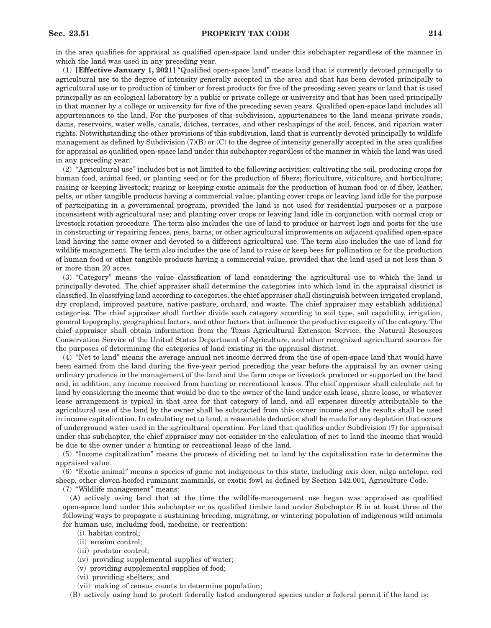in the area qualifies for appraisal as qualified open-space land under this subchapter regardless of the manner in which the land was used in any preceding year.

(1) **[Effective January 1, 2021]** "Qualified open-space land" means land that is currently devoted principally to agricultural use to the degree of intensity generally accepted in the area and that has been devoted principally to agricultural use or to production of timber or forest products for five of the preceding seven years or land that is used principally as an ecological laboratory by a public or private college or university and that has been used principally in that manner by a college or university for five of the preceding seven years. Qualified open-space land includes all appurtenances to the land. For the purposes of this subdivision, appurtenances to the land means private roads, dams, reservoirs, water wells, canals, ditches, terraces, and other reshapings of the soil, fences, and riparian water rights. Notwithstanding the other provisions of this subdivision, land that is currently devoted principally to wildlife management as defined by Subdivision (7)(B) or (C) to the degree of intensity generally accepted in the area qualifies for appraisal as qualified open-space land under this subchapter regardless of the manner in which the land was used in any preceding year.

(2) "Agricultural use" includes but is not limited to the following activities: cultivating the soil, producing crops for human food, animal feed, or planting seed or for the production of fibers; floriculture, viticulture, and horticulture; raising or keeping livestock; raising or keeping exotic animals for the production of human food or of fiber, leather, pelts, or other tangible products having a commercial value; planting cover crops or leaving land idle for the purpose of participating in a governmental program, provided the land is not used for residential purposes or a purpose inconsistent with agricultural use; and planting cover crops or leaving land idle in conjunction with normal crop or livestock rotation procedure. The term also includes the use of land to produce or harvest logs and posts for the use in constructing or repairing fences, pens, barns, or other agricultural improvements on adjacent qualified open-space land having the same owner and devoted to a different agricultural use. The term also includes the use of land for wildlife management. The term also includes the use of land to raise or keep bees for pollination or for the production of human food or other tangible products having a commercial value, provided that the land used is not less than 5 or more than 20 acres.

(3) "Category" means the value classification of land considering the agricultural use to which the land is principally devoted. The chief appraiser shall determine the categories into which land in the appraisal district is classified. In classifying land according to categories, the chief appraiser shall distinguish between irrigated cropland, dry cropland, improved pasture, native pasture, orchard, and waste. The chief appraiser may establish additional categories. The chief appraiser shall further divide each category according to soil type, soil capability, irrigation, general topography, geographical factors, and other factors that influence the productive capacity of the category. The chief appraiser shall obtain information from the Texas Agricultural Extension Service, the Natural Resources Conservation Service of the United States Department of Agriculture, and other recognized agricultural sources for the purposes of determining the categories of land existing in the appraisal district.

(4) "Net to land" means the average annual net income derived from the use of open-space land that would have been earned from the land during the five-year period preceding the year before the appraisal by an owner using ordinary prudence in the management of the land and the farm crops or livestock produced or supported on the land and, in addition, any income received from hunting or recreational leases. The chief appraiser shall calculate net to land by considering the income that would be due to the owner of the land under cash lease, share lease, or whatever lease arrangement is typical in that area for that category of land, and all expenses directly attributable to the agricultural use of the land by the owner shall be subtracted from this owner income and the results shall be used in income capitalization. In calculating net to land, a reasonable deduction shall be made for any depletion that occurs of underground water used in the agricultural operation. For land that qualifies under Subdivision (7) for appraisal under this subchapter, the chief appraiser may not consider in the calculation of net to land the income that would be due to the owner under a hunting or recreational lease of the land.

(5) "Income capitalization" means the process of dividing net to land by the capitalization rate to determine the appraised value.

(6) "Exotic animal" means a species of game not indigenous to this state, including axis deer, nilga antelope, red sheep, other cloven-hoofed ruminant mammals, or exotic fowl as defined by Section 142.001, Agriculture Code.

(7) "Wildlife management" means:

(A) actively using land that at the time the wildlife-management use began was appraised as qualified open-space land under this subchapter or as qualified timber land under Subchapter E in at least three of the following ways to propagate a sustaining breeding, migrating, or wintering population of indigenous wild animals for human use, including food, medicine, or recreation:

- (i) habitat control;
- (ii) erosion control;
- (iii) predator control;
- (iv) providing supplemental supplies of water;
- (v) providing supplemental supplies of food;
- (vi) providing shelters; and
- (vii) making of census counts to determine population;

(B) actively using land to protect federally listed endangered species under a federal permit if the land is: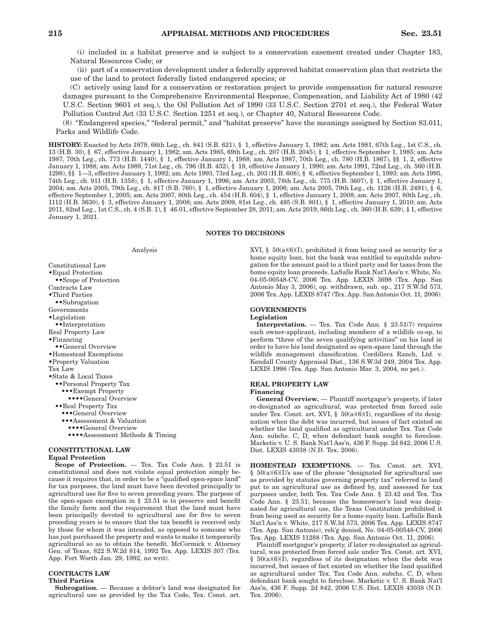(i) included in a habitat preserve and is subject to a conservation easement created under Chapter 183, Natural Resources Code; or

(ii) part of a conservation development under a federally approved habitat conservation plan that restricts the use of the land to protect federally listed endangered species; or

(C) actively using land for a conservation or restoration project to provide compensation for natural resource damages pursuant to the Comprehensive Environmental Response, Compensation, and Liability Act of 1980 (42 U.S.C. Section 9601 et seq.), the Oil Pollution Act of 1990 (33 U.S.C. Section 2701 et seq.), the Federal Water Pollution Control Act (33 U.S.C. Section 1251 et seq.), or Chapter 40, Natural Resources Code.

(8) "Endangered species," "federal permit," and "habitat preserve" have the meanings assigned by Section 83.011, Parks and Wildlife Code.

**HISTORY:** Enacted by Acts 1979, 66th Leg., ch. 841 (S.B. 621), § 1, effective January 1, 1982; am. Acts 1981, 67th Leg., 1st C.S., ch. 13 (H.B. 30), § 67, effective January 1, 1982; am. Acts 1985, 69th Leg., ch. 207 (H.B. 2045), § 1, effective September 1, 1985; am. Acts 1987, 70th Leg., ch. 773 (H.B. 1440), § 1, effective January 1, 1988; am. Acts 1987, 70th Leg., ch. 780 (H.B. 1867), §§ 1, 2, effective January 1, 1988; am. Acts 1989, 71st Leg., ch. 796 (H.B. 432), § 19, effective January 1, 1990; am. Acts 1991, 72nd Leg., ch. 560 (H.B. 1298), §§ 1—3, effective January 1, 1992; am. Acts 1993, 73rd Leg., ch. 203 (H.B. 608), § 6, effective September 1, 1993; am. Acts 1995, 74th Leg., ch. 911 (H.B. 1358), § 1, effective January 1, 1996; am. Acts 2003, 78th Leg., ch. 775 (H.B. 3607), § 1, effective January 1, 2004; am. Acts 2005, 79th Leg., ch. 817 (S.B. 760), § 1, effective January 1, 2006; am. Acts 2005, 79th Leg., ch. 1126 (H.B. 2491), § 6, effective September 1, 2005; am. Acts 2007, 80th Leg., ch. 454 (H.B. 604), § 1, effective January 1, 2008; am. Acts 2007, 80th Leg., ch. 1112 (H.B. 3630), § 3, effective January 1, 2008; am. Acts 2009, 81st Leg., ch. 495 (S.B. 801), § 1, effective January 1, 2010; am. Acts 2011, 82nd Leg., 1st C.S., ch. 4 (S.B. 1), § 46.01, effective September 28, 2011; am. Acts 2019, 86th Leg., ch. 360 (H.B. 639), § 1, effective January 1, 2021.

## **NOTES TO DECISIONS**

### Analysis

Constitutional Law •Equal Protection ••Scope of Protection Contracts Law •Third Parties ••Subrogation Governments •Legislation ••Interpretation Real Property Law •Financing ••General Overview •Homestead Exemptions •Property Valuation Tax Law •State & Local Taxes ••Personal Property Tax •••Exempt Property ••••General Overview ••Real Property Tax •••General Overview •••Assessment & Valuation ••••General Overview ••••Assessment Methods & Timing

## **CONSTITUTIONAL LAW**

### **Equal Protection**

**Scope of Protection.** — Tex. Tax Code Ann. § 23.51 is constitutional and does not violate equal protection simply because it requires that, in order to be a "qualified open-space land" for tax purposes, the land must have been devoted principally to agricultural use for five to seven preceding years. The purpose of the open-space exemption in § 23.51 is to preserve and benefit the family farm and the requirement that the land must have been principally devoted to agricultural use for five to seven preceding years is to ensure that the tax benefit is received only by those for whom it was intended, as opposed to someone who has just purchased the property and wants to make it temporarily agricultural so as to obtain the benefit. McCormick v. Attorney Gen. of Texas, 822 S.W.2d 814, 1992 Tex. App. LEXIS 307 (Tex. App. Fort Worth Jan. 29, 1992, no writ).

# **CONTRACTS LAW**

## **Third Parties**

**Subrogation.** — Because a debtor's land was designated for agricultural use as provided by the Tax Code, Tex. Const. art. XVI,  $\S$  50(a)(6)(I), prohibited it from being used as security for a home equity loan, but the bank was entitled to equitable subrogation for the amount paid to a third party and for taxes from the home equity loan proceeds. LaSalle Bank Nat'l Ass'n v. White, No. 04-05-00548-CV, 2006 Tex. App. LEXIS 3698 (Tex. App. San Antonio May 3, 2006), op. withdrawn, sub. op., 217 S.W.3d 573, 2006 Tex. App. LEXIS 8747 (Tex. App. San Antonio Oct. 11, 2006).

## **GOVERNMENTS Legislation**

**Interpretation.** — Tex. Tax Code Ann. § 23.51(7) requires each owner-applicant, including members of a wildlife co-op, to perform "three of the seven qualifying activities" on his land in order to have his land designated as open-space land through the wildlife management classification. Cordillera Ranch, Ltd. v. Kendall County Appraisal Dist., 136 S.W.3d 249, 2004 Tex. App. LEXIS 1998 (Tex. App. San Antonio Mar. 3, 2004, no pet.).

## **REAL PROPERTY LAW**

### **Financing**

**General Overview.** — Plaintiff mortgagor's property, if later re-designated as agricultural, was protected from forced sale under Tex. Const. art. XVI, § 50(a)(6)(I), regardless of its designation when the debt was incurred, but issues of fact existed on whether the land qualified as agricultural under Tex. Tax Code Ann. subchs. C, D, when defendant bank sought to foreclose. Marketic v. U. S. Bank Nat'l Ass'n, 436 F. Supp. 2d 842, 2006 U.S. Dist. LEXIS 43038 (N.D. Tex. 2006).

**HOMESTEAD EXEMPTIONS.** — Tex. Const. art. XVI,  $§ 50(a)(6)(I)$ 's use of the phrase "designated for agricultural use as provided by statutes governing property tax" referred to land put to an agricultural use as defined by, and assessed for tax purposes under, both Tex. Tax Code Ann. § 23.42 and Tex. Tax Code Ann. § 23.51; because the homeowner's land was designated for agricultural use, the Texas Constitution prohibited it from being used as security for a home equity loan. LaSalle Bank Nat'l Ass'n v. White, 217 S.W.3d 573, 2006 Tex. App. LEXIS 8747 (Tex. App. San Antonio), reh'g denied, No. 04-05-00548-CV, 2006 Tex. App. LEXIS 11288 (Tex. App. San Antonio Oct. 11, 2006).

Plaintiff mortgagor's property, if later re-designated as agricultural, was protected from forced sale under Tex. Const. art. XVI, §  $50(a)(6)(\overline{I})$ , regardless of its designation when the debt was incurred, but issues of fact existed on whether the land qualified as agricultural under Tex. Tax Code Ann. subchs. C, D, when defendant bank sought to foreclose. Marketic v. U. S. Bank Nat'l Ass'n, 436 F. Supp. 2d 842, 2006 U.S. Dist. LEXIS 43038 (N.D. Tex. 2006).